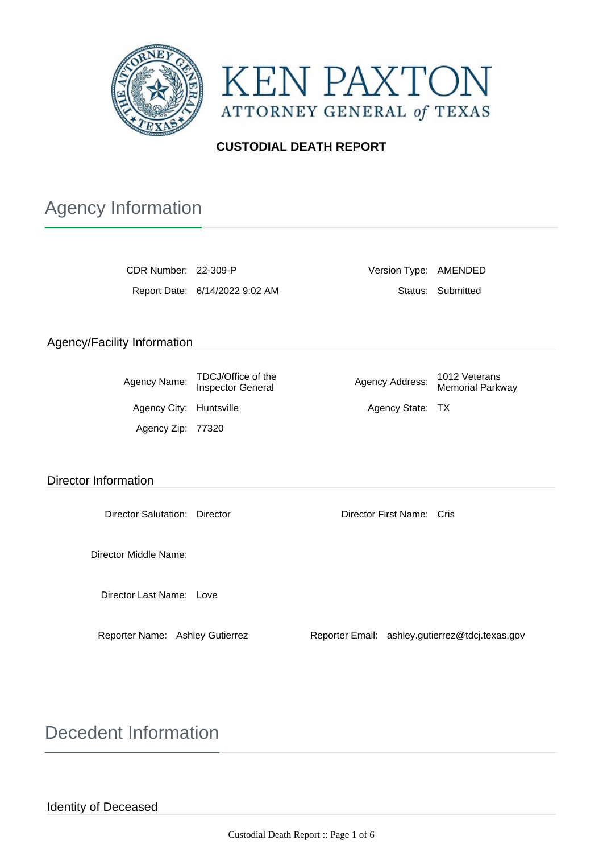



## **CUSTODIAL DEATH REPORT**

# Agency Information

CDR Number: 22-309-P Version Type: AMENDED Report Date: 6/14/2022 9:02 AM Status: Submitted

### Agency/Facility Information

| Agency Name:            | TDCJ/Office of the<br><b>Inspector General</b> | Agency Address:  | 1012 Veterans<br><b>Memorial Parkway</b> |
|-------------------------|------------------------------------------------|------------------|------------------------------------------|
| Agency City: Huntsville |                                                | Agency State: TX |                                          |
| Agency Zip: 77320       |                                                |                  |                                          |

#### Director Information

Director Salutation: Director Director First Name: Cris

Director Middle Name:

Director Last Name: Love

Reporter Name: Ashley Gutierrez Reporter Email: ashley.gutierrez@tdcj.texas.gov

Decedent Information

Identity of Deceased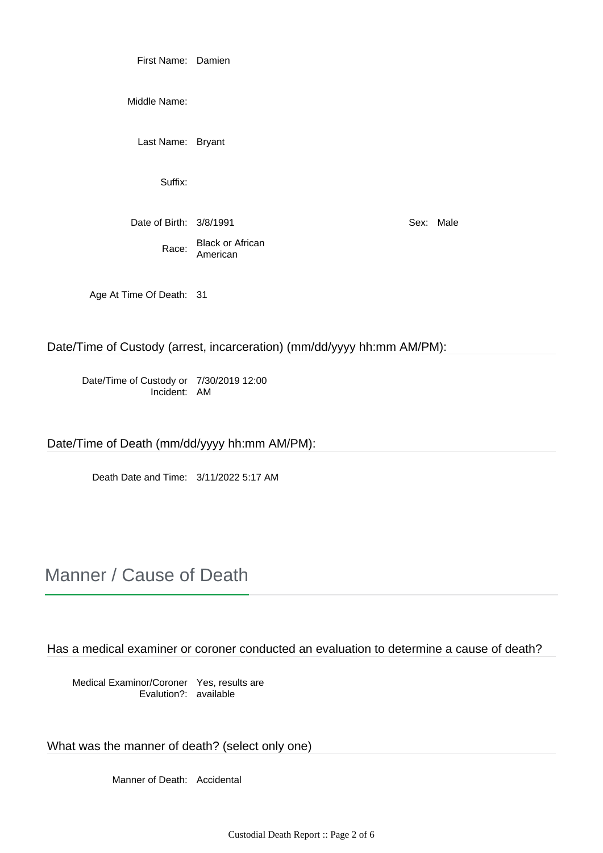First Name: Damien

Middle Name:

Last Name: Bryant

Suffix:

Date of Birth: 3/8/1991 Sex: Male

Race: Black or African American

Age At Time Of Death: 31

Date/Time of Custody (arrest, incarceration) (mm/dd/yyyy hh:mm AM/PM):

Date/Time of Custody or Incident: 7/30/2019 12:00 AM

Date/Time of Death (mm/dd/yyyy hh:mm AM/PM):

Death Date and Time: 3/11/2022 5:17 AM

# Manner / Cause of Death

Has a medical examiner or coroner conducted an evaluation to determine a cause of death?

Medical Examinor/Coroner Yes, results are Evalution?: available

What was the manner of death? (select only one)

Manner of Death: Accidental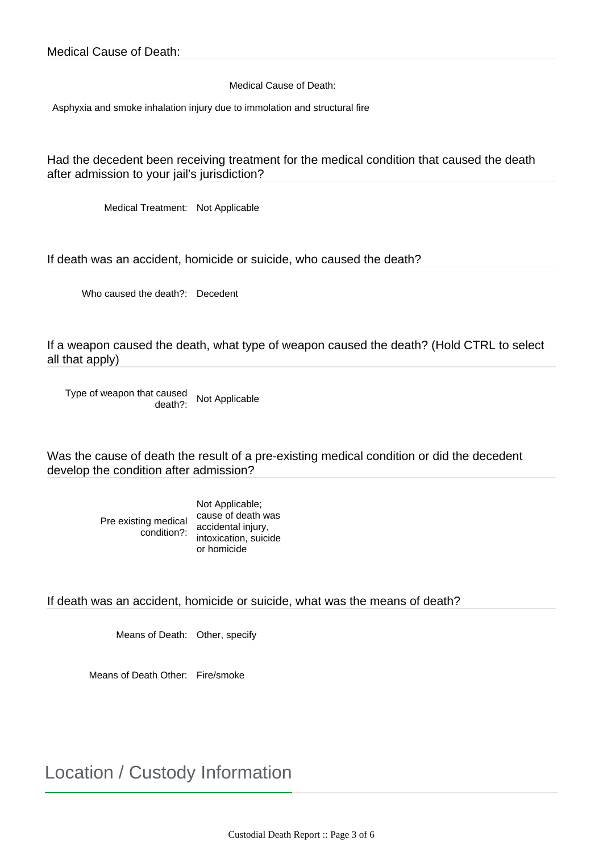Medical Cause of Death:

Asphyxia and smoke inhalation injury due to immolation and structural fire

Had the decedent been receiving treatment for the medical condition that caused the death after admission to your jail's jurisdiction?

Medical Treatment: Not Applicable

If death was an accident, homicide or suicide, who caused the death?

Who caused the death?: Decedent

If a weapon caused the death, what type of weapon caused the death? (Hold CTRL to select all that apply)

Type of weapon that caused death?: Not Applicable

Was the cause of death the result of a pre-existing medical condition or did the decedent develop the condition after admission?

> Pre existing medical condition?: Not Applicable; cause of death was accidental injury, intoxication, suicide or homicide

If death was an accident, homicide or suicide, what was the means of death?

Means of Death: Other, specify

Means of Death Other: Fire/smoke

Location / Custody Information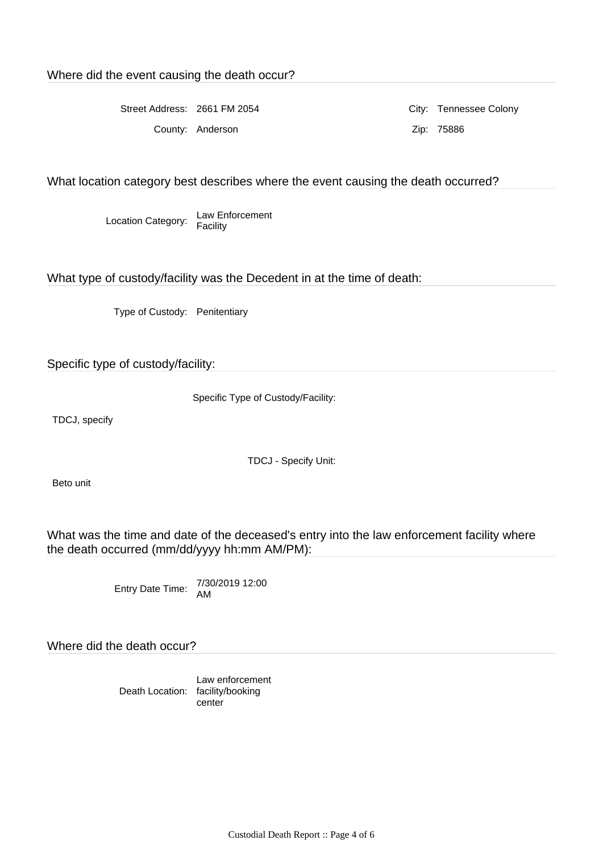Street Address: 2661 FM 2054 City: Tennessee Colony

County: Anderson Zip: 75886

#### What location category best describes where the event causing the death occurred?

Location Category: Law Enforcement Facility

What type of custody/facility was the Decedent in at the time of death:

Type of Custody: Penitentiary

Specific type of custody/facility:

Specific Type of Custody/Facility:

TDCJ, specify

TDCJ - Specify Unit:

Beto unit

What was the time and date of the deceased's entry into the law enforcement facility where the death occurred (mm/dd/yyyy hh:mm AM/PM):

Entry Date Time: 7/30/2019 12:00 AM

Where did the death occur?

Death Location: facility/booking Law enforcement center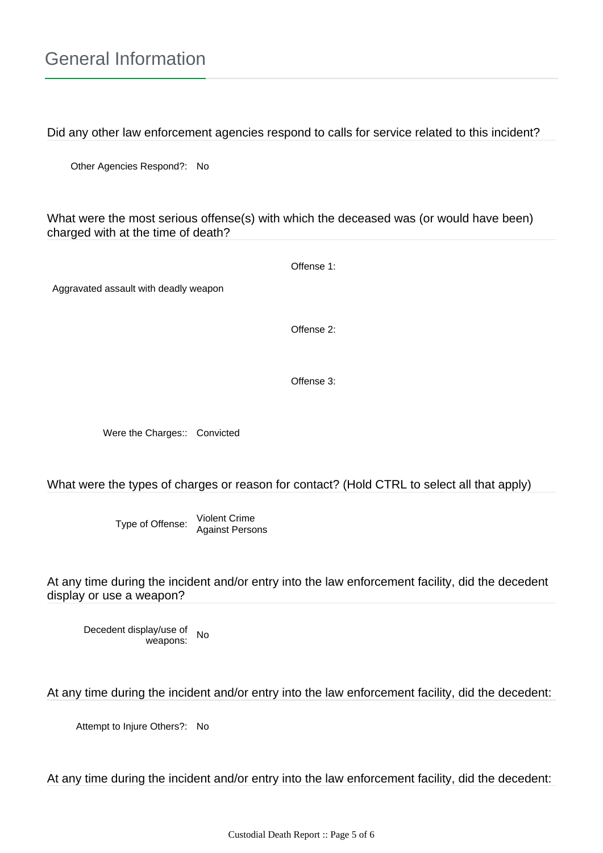Did any other law enforcement agencies respond to calls for service related to this incident?

Other Agencies Respond?: No

What were the most serious offense(s) with which the deceased was (or would have been) charged with at the time of death?

Offense 1:

Aggravated assault with deadly weapon

Offense 2:

Offense 3:

Were the Charges:: Convicted

### What were the types of charges or reason for contact? (Hold CTRL to select all that apply)

Type of Offense: Violent Crime Against Persons

At any time during the incident and/or entry into the law enforcement facility, did the decedent display or use a weapon?

Decedent display/use of weapons: No

At any time during the incident and/or entry into the law enforcement facility, did the decedent:

Attempt to Injure Others?: No

At any time during the incident and/or entry into the law enforcement facility, did the decedent: